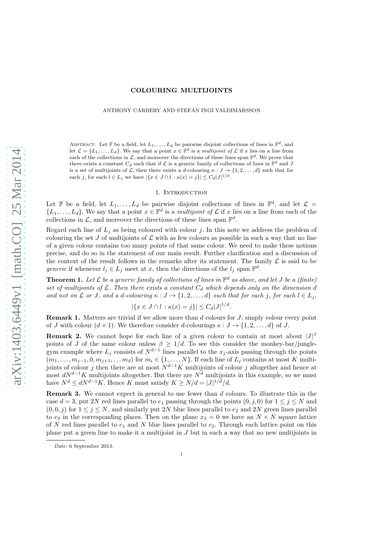# arXiv:1403.6449v1 [math.CO] 25 Mar 2014 [arXiv:1403.6449v1 \[math.CO\] 25 Mar 2014](http://arxiv.org/abs/1403.6449v1)

# COLOURING MULTIJOINTS

ANTHONY CARBERY AND STEFÁN INGI VALDIMARSSON

ABSTRACT. Let  $\mathbb F$  be a field, let  $L_1, \ldots, L_d$  be pairwise disjoint collections of lines in  $\mathbb F^d$ , and let  $\mathcal{L} = \{L_1, \ldots, L_d\}$ . We say that a point  $x \in \mathbb{F}^d$  is a multijoint of  $\mathcal{L}$  if x lies on a line from each of the collections in  $\mathcal{L}$ , and moreover the directions of these lines span  $\mathbb{F}^d$ . We prove that there exists a constant  $C_d$  such that if  $\mathcal L$  is a generic family of collections of lines in  $\mathbb F^d$  and  $J$ is a set of multijoints of L, then there exists a d-colouring  $\kappa : J \to \{1, 2, \ldots, d\}$  such that for each j, for each  $l \in L_j$  we have  $|\{x \in J \cap l : \kappa(x) = j\}| \leq C_d |J|^{1/d}$ .

### 1. INTRODUCTION

Let  $\mathbb F$  be a field, let  $L_1, \ldots, L_d$  be pairwise disjoint collections of lines in  $\mathbb F^d$ , and let  $\mathcal L =$  ${L_1, \ldots, L_d}$ . We say that a point  $x \in \mathbb{F}^d$  is a *multijoint of*  $\mathcal L$  if x lies on a line from each of the collections in  $\mathcal{L}$ , and moreover the directions of these lines span  $\mathbb{F}^d$ .

Regard each line of  $L_j$  as being coloured with colour j. In this note we address the problem of colouring the set J of multijoints of  $\mathcal L$  with as few colours as possible in such a way that no line of a given colour contains too many points of that same colour. We need to make these notions precise, and do so in the statement of our main result. Further clarification and a discussion of the context of the result follows in the remarks after its statement. The family  $\mathcal L$  is said to be generic if whenever  $l_j \in L_j$  meet at x, then the directions of the  $l_j$  span  $\mathbb{F}^d$ .

<span id="page-0-0"></span>**Theorem 1.** Let  $\mathcal L$  be a generic family of collections of lines in  $\mathbb F^d$  as above, and let  $J$  be a (finite) set of multijoints of  $\mathcal{L}$ . Then there exists a constant  $C_d$  which depends only on the dimension  $\hat{d}$ and not on L or J, and a d-colouring  $\kappa : J \to \{1, 2, ..., d\}$  such that for each j, for each  $l \in L_j$ ,

$$
|\{x \in J \cap l : \kappa(x) = j\}| \le C_d |J|^{1/d}
$$

.

**Remark 1.** Matters are trivial if we allow more than  $d$  colours for  $J$ : simply colour every point of J with colour  $(d+1)$ . We therefore consider d-colourings  $\kappa : J \to \{1, 2, ..., d\}$  of J.

**Remark 2.** We cannot hope for each line of a given colour to contain at most about  $|J|^{\beta}$ points of J of the same colour unless  $\beta \geq 1/d$ . To see this consider the monkey-bar/junglegym example where  $L_j$  consists of  $N^{d-1}$  lines parallel to the  $x_j$ -axis passing through the points  $(m_1, \ldots, m_{j-1}, 0, m_{j+1}, \ldots, m_d)$  for  $m_i \in \{1, \ldots, N\}$ . If each line of  $L_j$  contains at most K multijoints of colour j then there are at most  $N^{d-1}K$  multijoints of colour j altogether and hence at most  $dN^{d-1}K$  multijoints altogether. But there are  $N^d$  multijoints in this example, so we must have  $N^d \le dN^{d-1}K$ . Hence K must satisfy  $K \ge N/d = |J|^{1/\tilde{d}}/d$ .

Remark 3. We cannot expect in general to use fewer than d colours. To illustrate this in the case  $d = 3$ , put 2N red lines parallel to  $e_1$  passing through the points  $(0, j, 0)$  for  $1 \le j \le N$  and  $(0, 0, j)$  for  $1 \le j \le N$ , and similarly put 2N blue lines parallel to  $e_2$  and 2N green lines parallel to  $e_3$  in the corresponding places. Then on the plane  $x_3 = 0$  we have an  $N \times N$  square lattice of N red lines parallel to  $e_1$  and N blue lines parallel to  $e_2$ . Through each lattice point on this plane put a green line to make it a multijoint in J but in such a way that no new multijoints in

Date: 6 September 2013.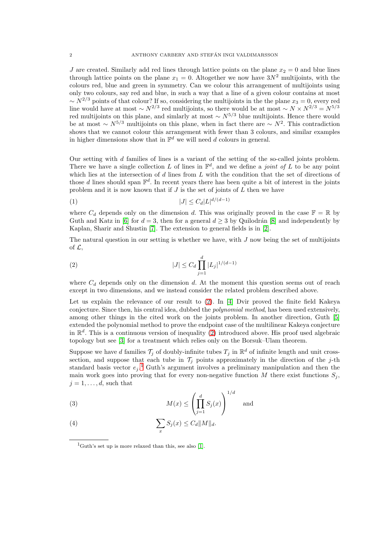J are created. Similarly add red lines through lattice points on the plane  $x_2 = 0$  and blue lines through lattice points on the plane  $x_1 = 0$ . Altogether we now have  $3N^2$  multijoints, with the colours red, blue and green in symmetry. Can we colour this arrangement of multijoints using only two colours, say red and blue, in such a way that a line of a given colour contains at most  $\sim N^{2/3}$  points of that colour? If so, considering the multijoints in the the plane  $x_3 = 0$ , every red line would have at most  $\sim N^{2/3}$  red multijoints, so there would be at most  $\sim N \times N^{2/3} = N^{5/3}$ red multijoints on this plane, and simlarly at most  $\sim N^{5/3}$  blue multijoints. Hence there would be at most  $\sim N^{5/3}$  multijoints on this plane, when in fact there are  $\sim N^2$ . This contradiction shows that we cannot colour this arrangement with fewer than 3 colours, and similar examples in higher dimensions show that in  $\mathbb{F}^d$  we will need d colours in general.

Our setting with d families of lines is a variant of the setting of the so-called joints problem. There we have a single collection L of lines in  $\mathbb{F}^d$ , and we define a *joint of L* to be any point which lies at the intersection of d lines from  $L$  with the condition that the set of directions of those d lines should span  $\mathbb{F}^d$ . In recent years there has been quite a bit of interest in the joints problem and it is now known that if  $J$  is the set of joints of  $L$  then we have

$$
(1) \t\t |J| \leq C_d |L|^{d/(d-1)}
$$

where  $C_d$  depends only on the dimension d. This was originally proved in the case  $\mathbb{F} = \mathbb{R}$  by Guth and Katz in [\[6\]](#page-8-0) for  $d = 3$ , then for a general  $d \geq 3$  by Quilodrán [\[8\]](#page-8-1) and independently by Kaplan, Sharir and Shustin [\[7\]](#page-8-2). The extension to general fields is in [\[2\]](#page-8-3).

The natural question in our setting is whether we have, with  $J$  now being the set of multijoints of  $\mathcal{L}$ ,

<span id="page-1-0"></span>(2) 
$$
|J| \leq C_d \prod_{j=1}^d |L_j|^{1/(d-1)}
$$

where  $C_d$  depends only on the dimension d. At the moment this question seems out of reach except in two dimensions, and we instead consider the related problem described above.

Let us explain the relevance of our result to [\(2\)](#page-1-0). In [\[4\]](#page-8-4) Dvir proved the finite field Kakeya conjecture. Since then, his central idea, dubbed the polynomial method, has been used extensively, among other things in the cited work on the joints problem. In another direction, Guth [\[5\]](#page-8-5) extended the polynomial method to prove the endpoint case of the multilinear Kakeya conjecture in  $\mathbb{R}^d$ . This is a continuous version of inequality [\(2\)](#page-1-0) introduced above. His proof used algebraic topology but see [\[3\]](#page-8-6) for a treatment which relies only on the Borsuk–Ulam theorem.

Suppose we have d families  $\mathcal{T}_j$  of doubly-infinite tubes  $T_j$  in  $\mathbb{R}^d$  of infinite length and unit crosssection, and suppose that each tube in  $\mathcal{T}_j$  points approximately in the direction of the j-th standard basis vector  $e_j$ . Guth's argument involves a preliminary manipulation and then the main work goes into proving that for every non-negative function M there exist functions  $S_i$ ,  $j = 1, \ldots, d$ , such that

<span id="page-1-2"></span>(3) 
$$
M(x) \le \left(\prod_{j=1}^d S_j(x)\right)^{1/d} \text{ and}
$$

<span id="page-1-3"></span>(4) 
$$
\sum_{x} S_j(x) \leq C_d ||M||_d.
$$

<span id="page-1-1"></span><sup>&</sup>lt;sup>1</sup>Guth's set up is more relaxed than this, see also [\[1\]](#page-8-7).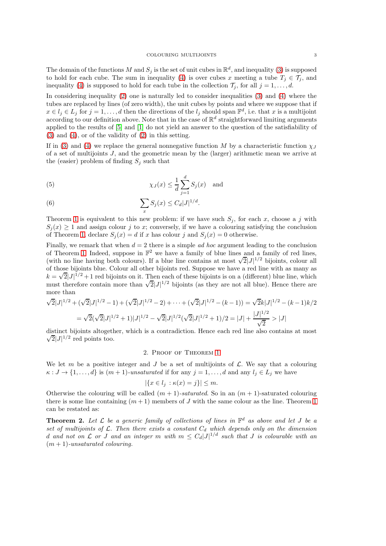The domain of the functions M and  $S_j$  is the set of unit cubes in  $\mathbb{R}^d$ , and inequality [\(3\)](#page-1-2) is supposed to hold for each cube. The sum in inequality [\(4\)](#page-1-3) is over cubes x meeting a tube  $T_i \in \mathcal{T}_i$ , and inequality [\(4\)](#page-1-3) is supposed to hold for each tube in the collection  $\mathcal{T}_i$ , for all  $j = 1, \ldots, d$ .

In considering inequality [\(2\)](#page-1-0) one is naturally led to consider inequalities [\(3\)](#page-1-2) and [\(4\)](#page-1-3) where the tubes are replaced by lines (of zero width), the unit cubes by points and where we suppose that if  $x \in l_j \in L_j$  for  $j = 1, ..., d$  then the directions of the  $l_j$  should span  $\mathbb{F}^d$ , i.e. that x is a multijoint according to our definition above. Note that in the case of  $\mathbb{R}^d$  straightforward limiting arguments applied to the results of [\[5\]](#page-8-5) and [\[1\]](#page-8-7) do not yield an answer to the question of the satisfiability of [\(3\)](#page-1-2) and [\(4\)](#page-1-3), or of the validity of [\(2\)](#page-1-0) in this setting.

If in [\(3\)](#page-1-2) and [\(4\)](#page-1-3) we replace the general nonnegative function M by a characteristic function  $\chi_J$ of a set of multijoints J, and the geometric mean by the (larger) arithmetic mean we arrive at the (easier) problem of finding  $S_i$  such that

(5) 
$$
\chi_J(x) \leq \frac{1}{d} \sum_{j=1}^d S_j(x) \text{ and}
$$

(6) 
$$
\sum_{x} S_j(x) \leq C_d |J|^{1/d}.
$$

Theorem [1](#page-0-0) is equivalent to this new problem: if we have such  $S_j$ , for each x, choose a j with  $S_i(x) \geq 1$  and assign colour j to x; conversely, if we have a colouring satisfying the conclusion of Theorem [1,](#page-0-0) declare  $S_i(x) = d$  if x has colour j and  $S_i(x) = 0$  otherwise.

Finally, we remark that when  $d = 2$  there is a simple *ad hoc* argument leading to the conclusion of Theorem [1.](#page-0-0) Indeed, suppose in  $\mathbb{F}^2$  we have a family of blue lines and a family of red lines, (with no line having both colours). If a blue line contains at most  $\sqrt{2} |J|^{1/2}$  bijoints, colour all of those bijoints blue. Colour all other bijoints red. Suppose we have a red line with as many as  $k = \sqrt{2} |J|^{1/2} + 1$  red bijoints on it. Then each of these bijoints is on a (different) blue line, which must therefore contain more than  $\sqrt{2}$ |J|<sup>1/2</sup> bijoints (as they are not all blue). Hence there are more than

$$
\sqrt{2}|J|^{1/2} + (\sqrt{2}|J|^{1/2} - 1) + (\sqrt{2}|J|^{1/2} - 2) + \dots + (\sqrt{2}|J|^{1/2} - (k-1)) = \sqrt{2}k|J|^{1/2} - (k-1)k/2
$$

$$
= \sqrt{2}(\sqrt{2}|J|^{1/2} + 1)|J|^{1/2} - \sqrt{2}|J|^{1/2}(\sqrt{2}|J|^{1/2} + 1)/2 = |J| + \frac{|J|^{1/2}}{\sqrt{2}} > |J|
$$

distinct bijoints altogether, which is a contradiction. Hence each re d line also contains at most  $\sqrt{2}$ |J|<sup>1/2</sup> red points too.

## 2. Proof of Theorem [1](#page-0-0)

We let m be a positive integer and  $J$  be a set of multijoints of  $\mathcal{L}$ . We say that a colouring  $\kappa : J \to \{1, \ldots, d\}$  is  $(m+1)$ -unsaturated if for any  $j = 1, \ldots, d$  and any  $l_j \in L_j$  we have

$$
|\{x \in l_j : \kappa(x) = j\}| \le m.
$$

Otherwise the colouring will be called  $(m + 1)$ -saturated. So in an  $(m + 1)$ -saturated colouring there is some line containing  $(m+1)$  members of J with the same colour as the line. Theorem [1](#page-0-0) can be restated as:

**Theorem 2.** Let  $\mathcal{L}$  be a generic family of collections of lines in  $\mathbb{F}^d$  as above and let J be a set of multijoints of  $\mathcal{L}$ . Then there exists a constant  $C_d$  which depends only on the dimension d and not on  $\mathcal L$  or  $J$  and an integer  $m$  with  $m \leq C_d |J|^{1/d}$  such that  $J$  is colourable with an  $(m + 1)$ -unsaturated colouring.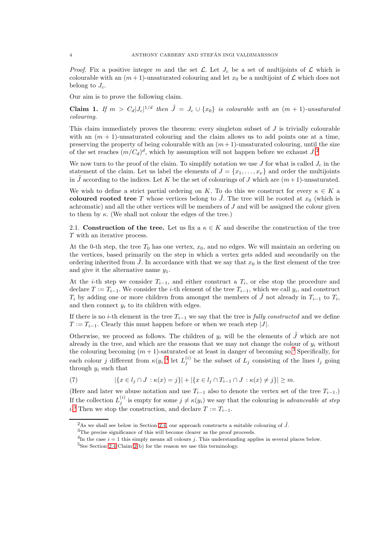*Proof.* Fix a positive integer m and the set  $\mathcal{L}$ . Let  $J_c$  be a set of multijoints of  $\mathcal{L}$  which is colourable with an  $(m+1)$ -unsaturated colouring and let  $x_0$  be a multijoint of  $\mathcal L$  which does not belong to  $J_c$ .

Our aim is to prove the following claim.

<span id="page-3-5"></span>**Claim 1.** If  $m > C_d |J_c|^{1/d}$  then  $\tilde{J} = J_c \cup \{x_0\}$  is colourable with an  $(m + 1)$ -unsaturated colouring.

This claim immediately proves the theorem: every singleton subset of  $J$  is trivially colourable with an  $(m + 1)$ -unsaturated colouring and the claim allows us to add points one at a time, preserving the property of being colourable with an  $(m + 1)$ -unsaturated colouring, until the size of the set reaches  $(m/C_d)^d$ , which by assumption will not happen before we exhaust  $J^2$  $J^2$ .

We now turn to the proof of the claim. To simplify notation we use J for what is called  $J_c$  in the statement of the claim. Let us label the elements of  $J = \{x_1, \ldots, x_{\nu}\}\$  and order the multijoints in J according to the indices. Let K be the set of colourings of J which are  $(m+1)$ -unsaturated.

We wish to define a strict partial ordering on K. To do this we construct for every  $\kappa \in K$  a coloured rooted tree T whose vertices belong to  $\tilde{J}$ . The tree will be rooted at  $x_0$  (which is achromatic) and all the other vertices will be members of  $J$  and will be assigned the colour given to them by  $\kappa$ . (We shall not colour the edges of the tree.)

2.1. Construction of the tree. Let us fix a  $\kappa \in K$  and describe the construction of the tree T with an iterative process.

At the 0-th step, the tree  $T_0$  has one vertex,  $x_0$ , and no edges. We will maintain an ordering on the vertices, based primarily on the step in which a vertex gets added and secondarily on the ordering inherited from  $\tilde{J}$ . In accordance with that we say that  $x_0$  is the first element of the tree and give it the alternative name  $y_1$ .

At the *i*-th step we consider  $T_{i-1}$ , and either construct a  $T_i$ , or else stop the procedure and declare  $T := T_{i-1}$ . We consider the *i*-th element of the tree  $T_{i-1}$ , which we call  $y_i$ , and construct  $T_i$  by adding one or more children from amongst the members of  $\tilde{J}$  not already in  $T_{i-1}$  to  $T_i$ , and then connect  $y_i$  to its children with edges.

If there is no *i*-th element in the tree  $T_{i-1}$  we say that the tree is *fully constructed* and we define  $T := T_{i-1}$ . Clearly this must happen before or when we reach step |J|.

Otherwise, we proceed as follows. The children of  $y_i$  will be the elements of  $\tilde{J}$  which are not already in the tree, and which are the reasons that we may not change the colour of  $y_i$  without the colouring becoming  $(m + 1)$ -saturated or at least in danger of becoming so.<sup>[3](#page-3-1)</sup> Specifically, for each colour j different from  $\kappa(y_i)^4$  $\kappa(y_i)^4$  let  $L_j^{(i)}$  be the subset of  $L_j$  consisting of the lines  $l_j$  going through  $y_i$  such that

<span id="page-3-4"></span>(7) 
$$
|\{x \in l_j \cap J : \kappa(x) = j\}| + |\{x \in l_j \cap T_{i-1} \cap J : \kappa(x) \neq j\}| \geq m.
$$

(Here and later we abuse notation and use  $T_{i-1}$  also to denote the vertex set of the tree  $T_{i-1}$ .) If the collection  $L_j^{(i)}$  is empty for some  $j \neq \kappa(y_i)$  we say that the colouring is *advanceable at step*  $i$ <sup>[5](#page-3-3)</sup>. Then we stop the construction, and declare  $T := T_{i-1}$ .

<sup>&</sup>lt;sup>2</sup>As we shall see below in Section [2.4,](#page-5-0) our approach constructs a suitable colouring of  $\tilde{J}$ .

<span id="page-3-0"></span> ${\rm ^3The}$  precise significance of this will become clearer as the proof proceeds.

<span id="page-3-1"></span><sup>&</sup>lt;sup>4</sup>In the case  $i = 1$  this simply means all colours j. This understanding applies in several places below.

<span id="page-3-3"></span><span id="page-3-2"></span> ${}^{5}$ See Section [2.4](#page-5-0) Claim [2\(](#page-5-1)b) for the reason we use this terminology.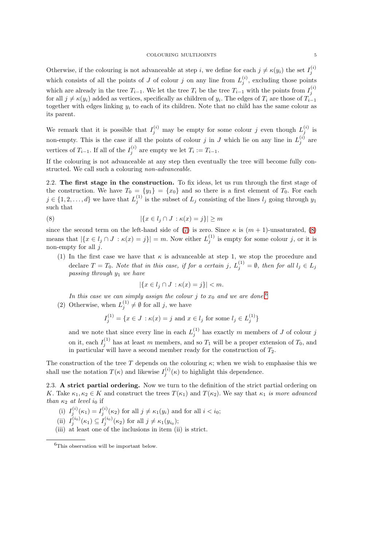Otherwise, if the colouring is not advanceable at step *i*, we define for each  $j \neq \kappa(y_i)$  the set  $I_j^{(i)}$ j which consists of all the points of J of colour j on any line from  $L_j^{(i)}$ , excluding those points which are already in the tree  $T_{i-1}$ . We let the tree  $T_i$  be the tree  $T_{i-1}$  with the points from  $I_i^{(i)}$ j for all  $j \neq \kappa(y_i)$  added as vertices, specifically as children of  $y_i$ . The edges of  $T_i$  are those of  $T_{i-1}$ together with edges linking  $y_i$  to each of its children. Note that no child has the same colour as its parent.

We remark that it is possible that  $I_j^{(i)}$  may be empty for some colour j even though  $L_j^{(i)}$  is non-empty. This is the case if all the points of colour j in J which lie on any line in  $L_i^{(i)}$  $j^{(i)}$  are vertices of  $T_{i-1}$ . If all of the  $I_j^{(i)}$  are empty we let  $T_i := T_{i-1}$ .

If the colouring is not advanceable at any step then eventually the tree will become fully constructed. We call such a colouring non-advanceable.

<span id="page-4-2"></span>2.2. The first stage in the construction. To fix ideas, let us run through the first stage of the construction. We have  $T_0 = \{y_1\} = \{x_0\}$  and so there is a first element of  $T_0$ . For each  $j \in \{1, 2, \ldots, d\}$  we have that  $L_j^{(1)}$  is the subset of  $L_j$  consisting of the lines  $l_j$  going through  $y_1$ such that

(8) 
$$
|\{x \in l_j \cap J : \kappa(x) = j\}| \ge m
$$

since the second term on the left-hand side of [\(7\)](#page-3-4) is zero. Since  $\kappa$  is  $(m + 1)$ -unsaturated, [\(8\)](#page-4-0) means that  $|\{x \in l_j \cap J : \kappa(x) = j\}| = m$ . Now either  $L_j^{(1)}$  $j_j^{(1)}$  is empty for some colour j, or it is non-empty for all  $j$ .

(1) In the first case we have that  $\kappa$  is advanceable at step 1, we stop the procedure and declare  $T = T_0$ . Note that in this case, if for a certain j,  $L_j^{(1)} = \emptyset$ , then for all  $l_j \in L_j$ passing through  $y_1$  we have

<span id="page-4-0"></span>
$$
|\{x \in l_j \cap J : \kappa(x) = j\}| < m.
$$

In this case we can simply assign the colour j to  $x_0$  and we are done.<sup>[6](#page-4-1)</sup>

(2) Otherwise, when  $L_j^{(1)} \neq \emptyset$  for all j, we have

$$
I_j^{(1)} = \{ x \in J : \kappa(x) = j \text{ and } x \in l_j \text{ for some } l_j \in L_j^{(1)} \}
$$

and we note that since every line in each  $L_j^{(1)}$  has exactly m members of J of colour j on it, each  $I_j^{(1)}$  has at least m members, and so  $T_1$  will be a proper extension of  $T_0$ , and in particular will have a second member ready for the construction of  $T_2$ .

The construction of the tree T depends on the colouring  $\kappa$ ; when we wish to emphasise this we shall use the notation  $T(\kappa)$  and likewise  $I_j^{(i)}(\kappa)$  to highlight this dependence.

2.3. A strict partial ordering. Now we turn to the definition of the strict partial ordering on K. Take  $\kappa_1, \kappa_2 \in K$  and construct the trees  $T(\kappa_1)$  and  $T(\kappa_2)$ . We say that  $\kappa_1$  is more advanced than  $\kappa_2$  at level  $i_0$  if

- (i)  $I_j^{(i)}(\kappa_1) = I_j^{(i)}(\kappa_2)$  for all  $j \neq \kappa_1(y_i)$  and for all  $i < i_0$ ;
- (ii)  $I_j^{(i_0)}(\kappa_1) \subseteq I_j^{(i_0)}(\kappa_2)$  for all  $j \neq \kappa_1(y_{i_0});$
- (iii) at least one of the inclusions in item (ii) is strict.

<span id="page-4-1"></span> ${}^{6}$ This observation will be important below.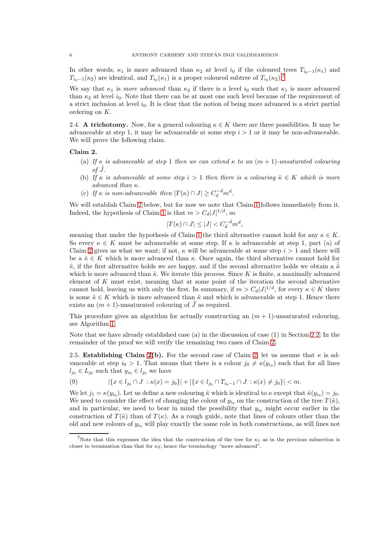In other words,  $\kappa_1$  is more advanced than  $\kappa_2$  at level  $i_0$  if the coloured trees  $T_{i_0-1}(\kappa_1)$  and  $T_{i_0-1}(\kappa_2)$  are identical, and  $T_{i_0}(\kappa_1)$  is a proper coloured subtree of  $T_{i_0}(\kappa_2)$ .<sup>[7](#page-5-2)</sup>

We say that  $\kappa_1$  is more advanced than  $\kappa_2$  if there is a level  $i_0$  such that  $\kappa_1$  is more advanced than  $\kappa_2$  at level  $i_0$ . Note that there can be at most one such level because of the requirement of a strict inclusion at level  $i<sub>0</sub>$ . It is clear that the notion of being more advanced is a strict partial ordering on K.

<span id="page-5-0"></span>2.4. A trichotomy. Now, for a general colouring  $\kappa \in K$  there are three possibilities. It may be advanceable at step 1, it may be advanceable at some step  $i > 1$  or it may be non-advanceable. We will prove the following claim.

# <span id="page-5-1"></span>Claim 2.

- (a) If  $\kappa$  is advanceable at step 1 then we can extend  $\kappa$  to an  $(m+1)$ -unsaturated colouring  $of J.$
- (b) If  $\kappa$  is advanceable at some step  $i > 1$  then there is a colouring  $\tilde{\kappa} \in K$  which is more advanced than κ.
- (c) If  $\kappa$  is non-advanceable then  $|T(\kappa) \cap J| \geq C_d^{-d} m^d$ .

We will establish Claim [2](#page-5-1) below, but for now we note that Claim [1](#page-3-5) follows immediately from it. Indeed, the hypothesis of Claim [1](#page-3-5) is that  $m > C_d |J|^{1/d}$ , so

$$
|T(\kappa) \cap J| \le |J| < C_d^{-d} m^d,
$$

meaning that under the hypothesis of Claim [1](#page-3-5) the third alternative cannot hold for any  $\kappa \in K$ . So every  $\kappa \in K$  must be advanceable at some step. If  $\kappa$  is advanceable at step 1, part (a) of Claim [2](#page-5-1) gives us what we want; if not,  $\kappa$  will be advanceable at some step  $i > 1$  and there will be a  $\tilde{\kappa} \in K$  which is more advanced than  $\kappa$ . Once again, the third alternative cannot hold for  $\tilde{\kappa}$ , if the first alternative holds we are happy, and if the second alternative holds we obtain a  $\tilde{\kappa}$ which is more advanced than  $\tilde{\kappa}$ . We iterate this process. Since K is finite, a maximally advanced element of  $K$  must exist, meaning that at some point of the iteration the second alternative cannot hold, leaving us with only the first. In summary, if  $m > C_d |J|^{1/d}$ , for every  $\kappa \in K$  there is some  $\tilde{\kappa} \in K$  which is more advanced than  $\tilde{\kappa}$  and which is advanceable at step 1. Hence there exists an  $(m + 1)$ -unsaturated colouring of  $\ddot{J}$  as required.

This procedure gives an algorithm for actually constructing an  $(m + 1)$ -unsaturated colouring, see Algorithm [1.](#page-6-0)

Note that we have already established case (a) in the discussion of case (1) in Section [2.2.](#page-4-2) In the remainder of the proof we will verify the remaining two cases of Claim [2.](#page-5-1)

2.5. Establishing Claim [2\(](#page-5-1)b). For the second case of Claim [2,](#page-5-1) let us assume that  $\kappa$  is advanceable at step  $i_0 > 1$ . That means that there is a colour  $j_0 \neq \kappa(y_{i_0})$  such that for all lines  $l_{j_0} \in L_{j_0}$  such that  $y_{i_0} \in l_{j_0}$  we have

<span id="page-5-3"></span>(9) 
$$
|\{x \in l_{j_0} \cap J : \kappa(x) = j_0\}| + |\{x \in l_{j_0} \cap T_{i_0 - 1} \cap J : \kappa(x) \neq j_0\}| < m.
$$

We let  $j_1 = \kappa(y_{i_0})$ . Let us define a new colouring  $\tilde{\kappa}$  which is identical to  $\kappa$  except that  $\tilde{\kappa}(y_{i_0}) = j_0$ . We need to consider the effect of changing the colour of  $y_{i_0}$  on the construction of the tree  $T(\tilde{\kappa})$ , and in particular, we need to bear in mind the possibility that  $y_{i_0}$  might occur earlier in the construction of  $T(\tilde{\kappa})$  than of  $T(\kappa)$ . As a rough guide, note that lines of colours other than the old and new colours of  $y_{i_0}$  will play exactly the same role in both constructions, as will lines not

<span id="page-5-2"></span><sup>&</sup>lt;sup>7</sup>Note that this expresses the idea that the construction of the tree for  $\kappa_1$  as in the previous subsection is closer to termination than that for  $\kappa_2$ ; hence the terminology "more advanced".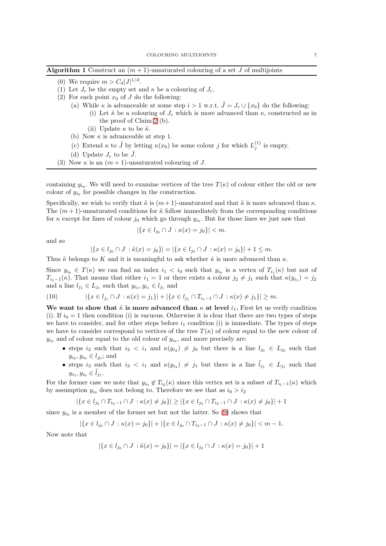<span id="page-6-0"></span>

| <b>Algorithm 1</b> Construct an $(m + 1)$ -unsaturated colouring of a set J of multijoints |  |  |  |  |  |  |  |  |  |
|--------------------------------------------------------------------------------------------|--|--|--|--|--|--|--|--|--|
|--------------------------------------------------------------------------------------------|--|--|--|--|--|--|--|--|--|

- (0) We require  $m > C_d |J|^{1/d}$ .
- (1) Let  $J_c$  be the empty set and  $\kappa$  be a colouring of  $J_c$ .
- (2) For each point  $x_0$  of J do the following:
	- (a) While  $\kappa$  is advanceable at some step  $i > 1$  w.r.t.  $\tilde{J} = J_c \cup \{x_0\}$  do the following:
		- (i) Let  $\tilde{\kappa}$  be a colouring of  $J_c$  which is more advanced than  $\kappa$ , constructed as in the proof of Claim [2](#page-5-1) (b).
		- (ii) Update  $\kappa$  to be  $\tilde{\kappa}$ .
	- (b) Now  $\kappa$  is advanceable at step 1.
	- (c) Extend  $\kappa$  to  $\tilde{J}$  by letting  $\kappa(x_0)$  be some colour j for which  $L_j^{(1)}$  is empty.
	- (d) Update  $J_c$  to be  $\tilde{J}$ .
- (3) Now  $\kappa$  is an  $(m+1)$ -unsaturated colouring of J.

containing  $y_{i_0}$ . We will need to examine vertices of the tree  $T(\kappa)$  of colour either the old or new colour of  $y_{i_0}$  for possible changes in the construction.

Specifically, we wish to verify that  $\tilde{\kappa}$  is  $(m+1)$ -unsaturated and that  $\tilde{\kappa}$  is more advanced than  $\kappa$ . The  $(m+1)$ -unsaturated conditions for  $\tilde{\kappa}$  follow immediately from the corresponding conditions for  $\kappa$  except for lines of colour  $j_0$  which go through  $y_{i_0}$ . But for those lines we just saw that

$$
|\{x \in l_{j_0} \cap J : \kappa(x) = j_0\}| < m.
$$

and so

$$
|\{x \in l_{j_0} \cap J : \tilde{\kappa}(x) = j_0\}| = |\{x \in l_{j_0} \cap J : \kappa(x) = j_0\}| + 1 \leq m.
$$

Thus  $\tilde{\kappa}$  belongs to K and it is meaningful to ask whether  $\tilde{\kappa}$  is more advanced than  $\kappa$ .

Since  $y_{i_0} \in T(\kappa)$  we can find an index  $i_1 < i_0$  such that  $y_{i_0}$  is a vertex of  $T_{i_1}(\kappa)$  but not of  $T_{i_1-1}(\kappa)$ . That means that either  $i_1 = 1$  or there exists a colour  $j_2 \neq j_1$  such that  $\kappa(y_{i_1}) = j_2$ and a line  $l_{j_1} \in L_{j_1}$  such that  $y_{i_0}, y_{i_1} \in l_{j_1}$  and

(10) 
$$
|\{x \in l_{j_1} \cap J : \kappa(x) = j_1\}| + |\{x \in l_{j_1} \cap T_{i_1 - 1} \cap J : \kappa(x) \neq j_1\}| \geq m.
$$

We want to show that  $\tilde{\kappa}$  is more advanced than  $\kappa$  at level  $i_1$ . First let us verify condition (i). If  $i_0 = 1$  then condition (i) is vacuous. Otherwise it is clear that there are two types of steps we have to consider, and for other steps before  $i_1$  condition (i) is immediate. The types of steps we have to consider correspond to vertices of the tree  $T(\kappa)$  of colour equal to the new colour of  $y_{i_0}$  and of colour equal to the old colour of  $y_{i_0}$ , and more precisely are:

- steps  $i_2$  such that  $i_2 < i_1$  and  $\kappa(y_{i_2}) \neq j_0$  but there is a line  $l_{j_0} \in L_{j_0}$  such that  $y_{i_2}, y_{i_0} \in l_{j_0}$ ; and
- steps i<sub>3</sub> such that  $i_3 < i_1$  and  $\kappa(y_{i_3}) \neq j_1$  but there is a line  $\tilde{l}_{j_1} \in L_{j_1}$  such that  $y_{i_3}, y_{i_0} \in \tilde{l}_{j_1}.$

For the former case we note that  $y_{i_0} \notin T_{i_2}(\kappa)$  since this vertex set is a subset of  $T_{i_1-1}(\kappa)$  which by assumption  $y_{i_0}$  does not belong to. Therefore we see that as  $i_0 > i_2$ 

$$
|\{x \in l_{j_0} \cap T_{i_0-1} \cap J : \kappa(x) \neq j_0\}| \geq |\{x \in l_{j_0} \cap T_{i_2-1} \cap J : \kappa(x) \neq j_0\}| + 1
$$

since  $y_{i_0}$  is a member of the former set but not the latter. So [\(9\)](#page-5-3) shows that

$$
|\{x \in l_{j_0} \cap J : \kappa(x) = j_0\}| + |\{x \in l_{j_0} \cap T_{i_2 - 1} \cap J : \kappa(x) \neq j_0\}| < m - 1.
$$

Now note that

$$
|\{x \in l_{j_0} \cap J : \tilde{\kappa}(x) = j_0\}| = |\{x \in l_{j_0} \cap J : \kappa(x) = j_0\}| + 1
$$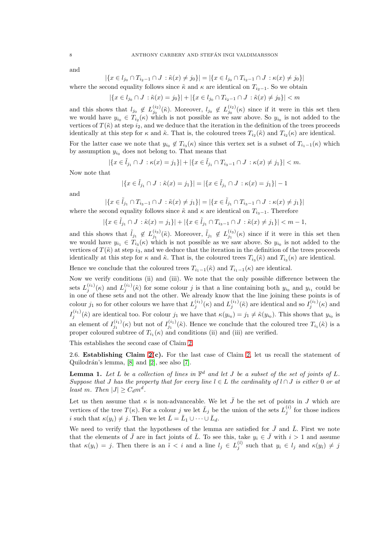and

$$
|\{x \in l_{j_0} \cap T_{i_2-1} \cap J : \tilde{\kappa}(x) \neq j_0\}| = |\{x \in l_{j_0} \cap T_{i_2-1} \cap J : \kappa(x) \neq j_0\}|
$$

where the second equality follows since  $\tilde{\kappa}$  and  $\kappa$  are identical on  $T_{i_2-1}$ . So we obtain

$$
|\{x \in l_{j_0} \cap J : \tilde{\kappa}(x) = j_0\}| + |\{x \in l_{j_0} \cap T_{i_2 - 1} \cap J : \tilde{\kappa}(x) \neq j_0\}| < m
$$

and this shows that  $l_{j_0} \notin L_{j_0}^{(i_2)}$  $j_0^{(i_2)}(\tilde{\kappa})$ . Moreover,  $l_{j_0} \notin L_{j_0}^{(i_2)}$  $j_0^{(i_2)}(\kappa)$  since if it were in this set then we would have  $y_{i_0} \in T_{i_2}(\kappa)$  which is not possible as we saw above. So  $y_{i_0}$  is not added to the vertices of  $T(\tilde{\kappa})$  at step  $i_2$ , and we deduce that the iteration in the definition of the trees proceeds identically at this step for  $\kappa$  and  $\tilde{\kappa}$ . That is, the coloured trees  $T_{i_2}(\tilde{\kappa})$  and  $T_{i_2}(\kappa)$  are identical.

For the latter case we note that  $y_{i_0} \notin T_{i_3}(\kappa)$  since this vertex set is a subset of  $T_{i_1-1}(\kappa)$  which by assumption  $y_{i_0}$  does not belong to. That means that

$$
|\{x \in \tilde{l}_{j_1} \cap J : \kappa(x) = j_1\}| + |\{x \in \tilde{l}_{j_1} \cap T_{i_3 - 1} \cap J : \kappa(x) \neq j_1\}| < m.
$$

Now note that

$$
|\{x \in \tilde{l}_{j_1} \cap J : \tilde{\kappa}(x) = j_1\}| = |\{x \in \tilde{l}_{j_1} \cap J : \kappa(x) = j_1\}| - 1
$$

and

$$
|\{x \in \tilde{l}_{j_1} \cap T_{i_3-1} \cap J : \tilde{\kappa}(x) \neq j_1\}| = |\{x \in \tilde{l}_{j_1} \cap T_{i_3-1} \cap J : \kappa(x) \neq j_1\}|
$$

where the second equality follows since  $\tilde{\kappa}$  and  $\kappa$  are identical on  $T_{i_2-1}$ . Therefore

$$
|\{x \in \tilde{l}_{j_1} \cap J : \tilde{\kappa}(x) = j_1\}| + |\{x \in \tilde{l}_{j_1} \cap T_{i_3 - 1} \cap J : \tilde{\kappa}(x) \neq j_1\}| < m - 1,
$$

and this shows that  $\tilde{l}_{j_1} \notin L_{j_1}^{(i_3)}(\tilde{\kappa})$ . Moreover,  $\tilde{l}_{j_1} \notin L_{j_1}^{(i_3)}(\kappa)$  since if it were in this set then we would have  $y_{i_1} \in T_{i_3}(\kappa)$  which is not possible as we saw above. So  $y_{i_0}$  is not added to the vertices of  $T(\tilde{\kappa})$  at step  $i_3$ , and we deduce that the iteration in the definition of the trees proceeds identically at this step for  $\kappa$  and  $\tilde{\kappa}$ . That is, the coloured trees  $T_{i_3}(\tilde{\kappa})$  and  $T_{i_3}(\kappa)$  are identical.

Hence we conclude that the coloured trees  $T_{i_1-1}(\tilde{\kappa})$  and  $T_{i_1-1}(\kappa)$  are identical.

Now we verify conditions (ii) and (iii). We note that the only possible difference between the sets  $L_j^{(i_1)}(\kappa)$  and  $L_j^{(i_1)}(\tilde{\kappa})$  for some colour j is that a line containing both  $y_{i_0}$  and  $y_{i_1}$  could be in one of these sets and not the other. We already know that the line joining these points is of colour  $j_1$  so for other colours we have that  $L_j^{(i_1)}(\kappa)$  and  $L_j^{(i_1)}(\tilde{\kappa})$  are identical and so  $I_j^{(i_1)}(\kappa)$  and  $I_j^{(i_1)}(\tilde{\kappa})$  are identical too. For colour  $j_1$  we have that  $\kappa(y_{i_0}) = j_1 \neq \tilde{\kappa}(y_{i_0})$ . This shows that  $y_{i_0}$  is an element of  $I_{j_1}^{(i_1)}(\kappa)$  but not of  $I_{j_1}^{(i_1)}(\tilde{\kappa})$ . Hence we conclude that the coloured tree  $T_{i_1}(\tilde{\kappa})$  is a proper coloured subtree of  $T_{i_1}(\kappa)$  and conditions (ii) and (iii) are verified.

This establishes the second case of Claim [2.](#page-5-1)

2.6. Establishing Claim  $2(c)$ . For the last case of Claim [2,](#page-5-1) let us recall the statement of Quilodrán's lemma,  $[8]$  and  $[2]$ , see also  $[7]$ .

**Lemma 1.** Let L be a collection of lines in  $\mathbb{F}^d$  and let J be a subset of the set of joints of L. Suppose that J has the property that for every line  $l \in L$  the cardinality of  $l \cap J$  is either 0 or at least m. Then  $|J| \geq C_d m^d$ .

Let us then assume that  $\kappa$  is non-advanceable. We let  $\bar{J}$  be the set of points in J which are vertices of the tree  $T(\kappa)$ . For a colour j we let  $\bar{L}_j$  be the union of the sets  $L_j^{(i)}$  for those indices *i* such that  $\kappa(y_i) \neq j$ . Then we let  $\bar{L} = \bar{L}_1 \cup \cdots \cup \bar{L}_d$ .

We need to verify that the hypotheses of the lemma are satisfied for  $\bar{J}$  and  $\bar{L}$ . First we note that the elements of  $\bar{J}$  are in fact joints of  $\bar{L}$ . To see this, take  $y_i \in \bar{J}$  with  $i > 1$  and assume that  $\kappa(y_i) = j$ . Then there is an  $\tilde{i} < i$  and a line  $l_j \in L_j^{(\tilde{i})}$  such that  $y_i \in l_j$  and  $\kappa(y_i) \neq j$